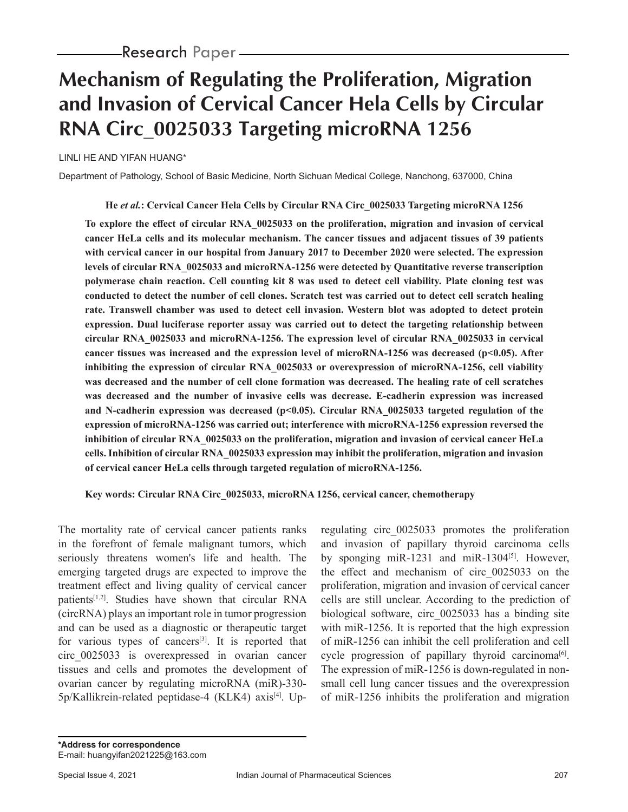# **Mechanism of Regulating the Proliferation, Migration and Invasion of Cervical Cancer Hela Cells by Circular RNA Circ\_0025033 Targeting microRNA 1256**

LINLI HE AND YIFAN HUANG\*

Department of Pathology, School of Basic Medicine, North Sichuan Medical College, Nanchong, 637000, China

**He** *et al.***: Cervical Cancer Hela Cells by Circular RNA Circ\_0025033 Targeting microRNA 1256**

**To explore the effect of circular RNA\_0025033 on the proliferation, migration and invasion of cervical cancer HeLa cells and its molecular mechanism. The cancer tissues and adjacent tissues of 39 patients with cervical cancer in our hospital from January 2017 to December 2020 were selected. The expression levels of circular RNA\_0025033 and microRNA-1256 were detected by Quantitative reverse transcription polymerase chain reaction. Cell counting kit 8 was used to detect cell viability. Plate cloning test was conducted to detect the number of cell clones. Scratch test was carried out to detect cell scratch healing rate. Transwell chamber was used to detect cell invasion. Western blot was adopted to detect protein expression. Dual luciferase reporter assay was carried out to detect the targeting relationship between circular RNA\_0025033 and microRNA-1256. The expression level of circular RNA\_0025033 in cervical**  cancer tissues was increased and the expression level of microRNA-1256 was decreased (p<0.05). After **inhibiting the expression of circular RNA\_0025033 or overexpression of microRNA-1256, cell viability was decreased and the number of cell clone formation was decreased. The healing rate of cell scratches was decreased and the number of invasive cells was decrease. E-cadherin expression was increased**  and N-cadherin expression was decreased (p<0.05). Circular RNA 0025033 targeted regulation of the **expression of microRNA-1256 was carried out; interference with microRNA-1256 expression reversed the inhibition of circular RNA\_0025033 on the proliferation, migration and invasion of cervical cancer HeLa cells. Inhibition of circular RNA\_0025033 expression may inhibit the proliferation, migration and invasion of cervical cancer HeLa cells through targeted regulation of microRNA-1256.**

**Key words: Circular RNA Circ\_0025033, microRNA 1256, cervical cancer, chemotherapy**

The mortality rate of cervical cancer patients ranks in the forefront of female malignant tumors, which seriously threatens women's life and health. The emerging targeted drugs are expected to improve the treatment effect and living quality of cervical cancer patients[1,2]. Studies have shown that circular RNA (circRNA) plays an important role in tumor progression and can be used as a diagnostic or therapeutic target for various types of cancers $[3]$ . It is reported that circ\_0025033 is overexpressed in ovarian cancer tissues and cells and promotes the development of ovarian cancer by regulating microRNA (miR)-330- 5p/Kallikrein-related peptidase-4 (KLK4) axis<sup>[4]</sup>. Upregulating circ\_0025033 promotes the proliferation and invasion of papillary thyroid carcinoma cells by sponging miR-1231 and miR-1304<sup>[5]</sup>. However, the effect and mechanism of circ\_0025033 on the proliferation, migration and invasion of cervical cancer cells are still unclear. According to the prediction of biological software, circ\_0025033 has a binding site with miR-1256. It is reported that the high expression of miR-1256 can inhibit the cell proliferation and cell cycle progression of papillary thyroid carcinoma<sup>[6]</sup>. The expression of miR-1256 is down-regulated in nonsmall cell lung cancer tissues and the overexpression of miR-1256 inhibits the proliferation and migration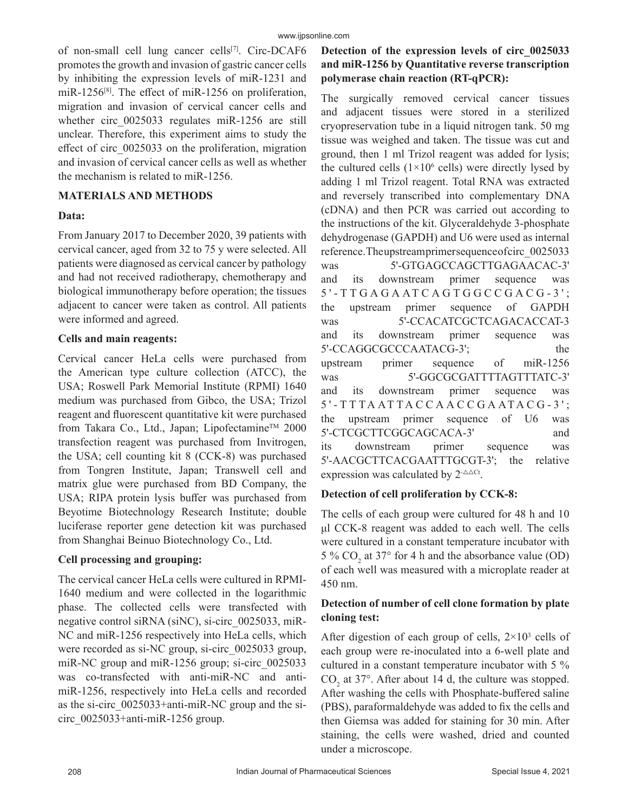of non-small cell lung cancer cells<sup>[7]</sup>. Circ-DCAF6 promotes the growth and invasion of gastric cancer cells by inhibiting the expression levels of miR-1231 and miR-1256 $^{[8]}$ . The effect of miR-1256 on proliferation, migration and invasion of cervical cancer cells and whether circ 0025033 regulates miR-1256 are still unclear. Therefore, this experiment aims to study the effect of circ\_0025033 on the proliferation, migration and invasion of cervical cancer cells as well as whether the mechanism is related to miR-1256.

#### **MATERIALS AND METHODS**

#### **Data:**

From January 2017 to December 2020, 39 patients with cervical cancer, aged from 32 to 75 y were selected. All patients were diagnosed as cervical cancer by pathology and had not received radiotherapy, chemotherapy and biological immunotherapy before operation; the tissues adjacent to cancer were taken as control. All patients were informed and agreed.

### **Cells and main reagents:**

Cervical cancer HeLa cells were purchased from the American type culture collection (ATCC), the USA; Roswell Park Memorial Institute (RPMI) 1640 medium was purchased from Gibco, the USA; Trizol reagent and fluorescent quantitative kit were purchased from Takara Co., Ltd., Japan; Lipofectamine™ 2000 transfection reagent was purchased from Invitrogen, the USA; cell counting kit 8 (CCK-8) was purchased from Tongren Institute, Japan; Transwell cell and matrix glue were purchased from BD Company, the USA; RIPA protein lysis buffer was purchased from Beyotime Biotechnology Research Institute; double luciferase reporter gene detection kit was purchased from Shanghai Beinuo Biotechnology Co., Ltd.

# **Cell processing and grouping:**

The cervical cancer HeLa cells were cultured in RPMI-1640 medium and were collected in the logarithmic phase. The collected cells were transfected with negative control siRNA (siNC), si-circ\_0025033, miR-NC and miR-1256 respectively into HeLa cells, which were recorded as si-NC group, si-circ 0025033 group, miR-NC group and miR-1256 group; si-circ 0025033 was co-transfected with anti-miR-NC and antimiR-1256, respectively into HeLa cells and recorded as the si-circ\_0025033+anti-miR-NC group and the sicirc $0025033+$ anti-miR-1256 group.

# **Detection of the expression levels of circ\_0025033 and miR-1256 by Quantitative reverse transcription polymerase chain reaction (RT-qPCR):**

The surgically removed cervical cancer tissues and adjacent tissues were stored in a sterilized cryopreservation tube in a liquid nitrogen tank. 50 mg tissue was weighed and taken. The tissue was cut and ground, then 1 ml Trizol reagent was added for lysis; the cultured cells  $(1 \times 10^6 \text{ cells})$  were directly lysed by adding 1 ml Trizol reagent. Total RNA was extracted and reversely transcribed into complementary DNA (cDNA) and then PCR was carried out according to the instructions of the kit. Glyceraldehyde 3-phosphate dehydrogenase (GAPDH) and U6 were used as internal reference. The upstream primer sequence of circ 0025033 was 5'-GTGAGCCAGCTTGAGAACAC-3' and its downstream primer sequence was 5 ' - T T G A G A AT C A G T G G C C G A C G - 3 ' ; the upstream primer sequence of GAPDH was 5'-CCACATCGCTCAGACACCAT-3 and its downstream primer sequence was 5'-CCAGGCGCCCAATACG-3'; the upstream primer sequence of miR-1256 was 5'-GGCGCGATTTTAGTTTATC-3' and its downstream primer sequence was 5 ' - T T T A AT T A C C A A C C G A AT A C G - 3 ' ; the upstream primer sequence of U6 was 5'-CTCGCTTCGGCAGCACA-3' and its downstream primer sequence was 5'-AACGCTTCACGAATTTGCGT-3'; the relative expression was calculated by  $2$ <sup>- $\triangle \triangle$ Ct</sup>.

# **Detection of cell proliferation by CCK-8:**

The cells of each group were cultured for 48 h and 10 μl CCK-8 reagent was added to each well. The cells were cultured in a constant temperature incubator with 5 %  $CO_2$  at 37° for 4 h and the absorbance value (OD) of each well was measured with a microplate reader at 450 nm.

# **Detection of number of cell clone formation by plate cloning test:**

After digestion of each group of cells,  $2 \times 10^3$  cells of each group were re-inoculated into a 6-well plate and cultured in a constant temperature incubator with 5 %  $CO<sub>2</sub>$  at 37°. After about 14 d, the culture was stopped. After washing the cells with Phosphate-buffered saline (PBS), paraformaldehyde was added to fix the cells and then Giemsa was added for staining for 30 min. After staining, the cells were washed, dried and counted under a microscope.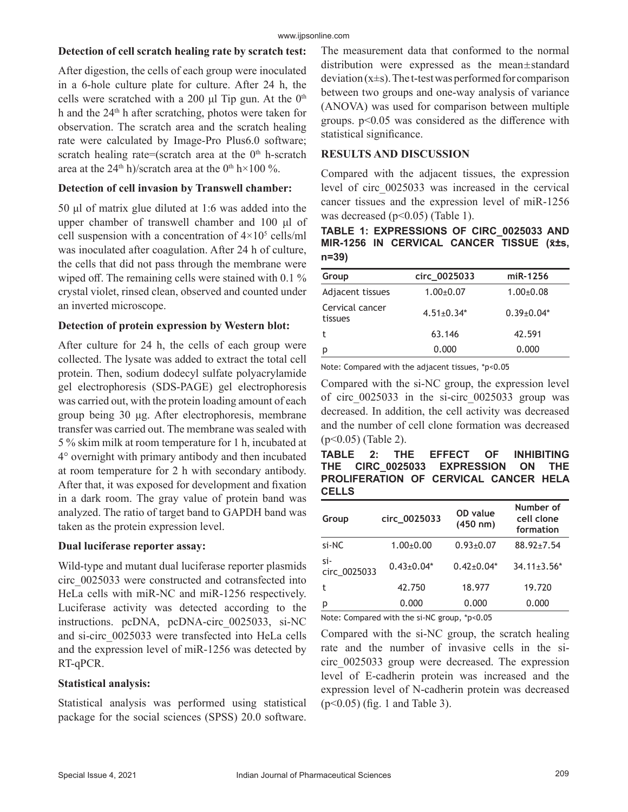#### **Detection of cell scratch healing rate by scratch test:**

After digestion, the cells of each group were inoculated in a 6-hole culture plate for culture. After 24 h, the cells were scratched with a 200 μl Tip gun. At the  $0<sup>th</sup>$ h and the 24<sup>th</sup> h after scratching, photos were taken for observation. The scratch area and the scratch healing rate were calculated by Image-Pro Plus6.0 software; scratch healing rate=(scratch area at the  $0<sup>th</sup>$  h-scratch area at the  $24<sup>th</sup>$  h)/scratch area at the 0<sup>th</sup> h×100 %.

#### **Detection of cell invasion by Transwell chamber:**

50 μl of matrix glue diluted at 1:6 was added into the upper chamber of transwell chamber and 100 μl of cell suspension with a concentration of  $4 \times 10^5$  cells/ml was inoculated after coagulation. After 24 h of culture, the cells that did not pass through the membrane were wiped off. The remaining cells were stained with 0.1 % crystal violet, rinsed clean, observed and counted under an inverted microscope.

### **Detection of protein expression by Western blot:**

After culture for 24 h, the cells of each group were collected. The lysate was added to extract the total cell protein. Then, sodium dodecyl sulfate polyacrylamide gel electrophoresis (SDS-PAGE) gel electrophoresis was carried out, with the protein loading amount of each group being 30 μg. After electrophoresis, membrane transfer was carried out. The membrane was sealed with 5 % skim milk at room temperature for 1 h, incubated at 4° overnight with primary antibody and then incubated at room temperature for 2 h with secondary antibody. After that, it was exposed for development and fixation in a dark room. The gray value of protein band was analyzed. The ratio of target band to GAPDH band was taken as the protein expression level.

#### **Dual luciferase reporter assay:**

Wild-type and mutant dual luciferase reporter plasmids circ\_0025033 were constructed and cotransfected into HeLa cells with miR-NC and miR-1256 respectively. Luciferase activity was detected according to the instructions. pcDNA, pcDNA-circ\_0025033, si-NC and si-circ\_0025033 were transfected into HeLa cells and the expression level of miR-1256 was detected by RT-qPCR.

# **Statistical analysis:**

Statistical analysis was performed using statistical package for the social sciences (SPSS) 20.0 software.

The measurement data that conformed to the normal distribution were expressed as the mean $\pm$ standard deviation  $(x\pm s)$ . The t-test was performed for comparison between two groups and one-way analysis of variance (ANOVA) was used for comparison between multiple groups. p<0.05 was considered as the difference with statistical significance.

### **RESULTS AND DISCUSSION**

Compared with the adjacent tissues, the expression level of circ\_0025033 was increased in the cervical cancer tissues and the expression level of miR-1256 was decreased  $(p<0.05)$  (Table 1).

**TABLE 1: EXPRESSIONS OF CIRC\_0025033 AND MIR-1256 IN CERVICAL CANCER TISSUE (x̄±s, n=39)**

| Group                      | circ 0025033     | miR-1256         |
|----------------------------|------------------|------------------|
| Adjacent tissues           | $1.00 \pm 0.07$  | $1.00 + 0.08$    |
| Cervical cancer<br>tissues | $4.51 \pm 0.34*$ | $0.39 \pm 0.04*$ |
| t                          | 63.146           | 42.591           |
| p                          | 0.000            | 0.000            |

Note: Compared with the adjacent tissues, \*p<0.05

Compared with the si-NC group, the expression level of circ\_0025033 in the si-circ\_0025033 group was decreased. In addition, the cell activity was decreased and the number of cell clone formation was decreased (p<0.05) (Table 2).

**TABLE 2: THE EFFECT OF INHIBITING THE CIRC\_0025033 EXPRESSION ON THE PROLIFERATION OF CERVICAL CANCER HELA CELLS**

| Group               | circ_0025033     | OD value<br>$(450 \; nm)$ | Number of<br>cell clone<br>formation |  |  |
|---------------------|------------------|---------------------------|--------------------------------------|--|--|
| si-NC               | $1.00+0.00$      | $0.93 + 0.07$             | $88.92 \pm 7.54$                     |  |  |
| si-<br>circ_0025033 | $0.43 \pm 0.04*$ | $0.42 \pm 0.04*$          | $34.11 \pm 3.56^*$                   |  |  |
| t                   | 42.750           | 18.977                    | 19.720                               |  |  |
| p                   | 0.000            | 0.000                     | 0.000                                |  |  |

Note: Compared with the si-NC group, \*p<0.05

Compared with the si-NC group, the scratch healing rate and the number of invasive cells in the sicirc\_0025033 group were decreased. The expression level of E-cadherin protein was increased and the expression level of N-cadherin protein was decreased (p<0.05) (fig. 1 and Table 3).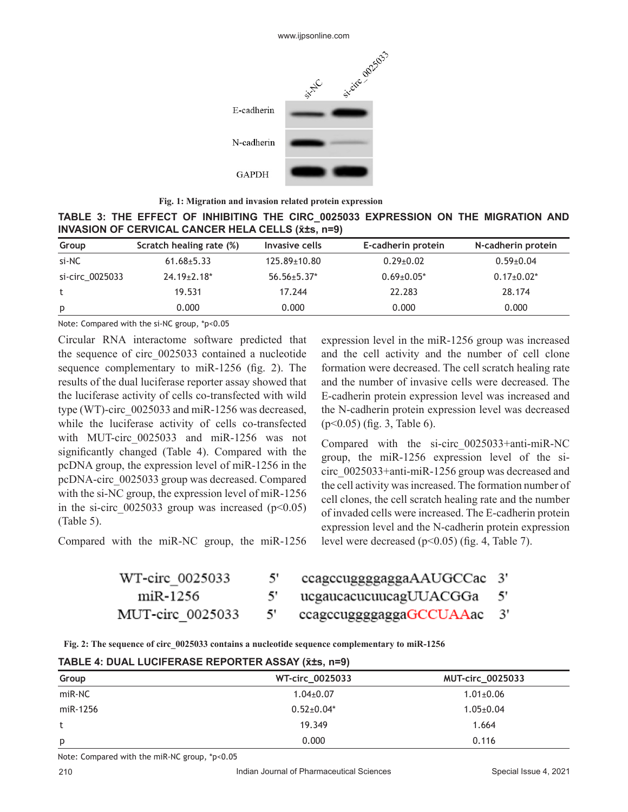

**Fig. 1: Migration and invasion related protein expression** 

**TABLE 3: THE EFFECT OF INHIBITING THE CIRC\_0025033 EXPRESSION ON THE MIGRATION AND INVASION OF CERVICAL CANCER HELA CELLS (x̄±s, n=9)** 

| Group           | Scratch healing rate (%) | Invasive cells     | E-cadherin protein | N-cadherin protein |
|-----------------|--------------------------|--------------------|--------------------|--------------------|
| si-NC           | $61.68 \pm 5.33$         | $125.89 \pm 10.80$ | $0.29 \pm 0.02$    | $0.59 \pm 0.04$    |
| si-circ 0025033 | $24.19 \pm 2.18$ *       | $56.56 \pm 5.37$ * | $0.69 \pm 0.05^*$  | $0.17 \pm 0.02^*$  |
| t               | 19.531                   | 17.244             | 22.283             | 28.174             |
| p               | 0.000                    | 0.000              | 0.000              | 0.000              |

Note: Compared with the si-NC group, \*p<0.05

Circular RNA interactome software predicted that the sequence of circ\_0025033 contained a nucleotide sequence complementary to miR-1256 (fig. 2). The results of the dual luciferase reporter assay showed that the luciferase activity of cells co-transfected with wild type (WT)-circ\_0025033 and miR-1256 was decreased, while the luciferase activity of cells co-transfected with MUT-circ 0025033 and miR-1256 was not significantly changed (Table 4). Compared with the pcDNA group, the expression level of miR-1256 in the pcDNA-circ\_0025033 group was decreased. Compared with the si-NC group, the expression level of miR-1256 in the si-circ  $0025033$  group was increased (p<0.05) (Table 5).

Compared with the miR-NC group, the miR-1256

expression level in the miR-1256 group was increased and the cell activity and the number of cell clone formation were decreased. The cell scratch healing rate and the number of invasive cells were decreased. The E-cadherin protein expression level was increased and the N-cadherin protein expression level was decreased (p<0.05) (fig. 3, Table 6).

Compared with the si-circ\_0025033+anti-miR-NC group, the miR-1256 expression level of the sicirc\_0025033+anti-miR-1256 group was decreased and the cell activity was increased. The formation number of cell clones, the cell scratch healing rate and the number of invaded cells were increased. The E-cadherin protein expression level and the N-cadherin protein expression level were decreased  $(p<0.05)$  (fig. 4, Table 7).

| WT-circ 0025033 | 5' | ccagccugggggagga |
|-----------------|----|------------------|
| miR-1256        |    | ucgaucacucuucag  |

5'

MUT-circ 0025033

aAAUGCCac 3' 5'

≀UUACGGa

ccagccuggggaggaGCCUAAac 3'

**Fig. 2: The sequence of circ\_0025033 contains a nucleotide sequence complementary to miR-1256**

#### **TABLE 4: DUAL LUCIFERASE REPORTER ASSAY (x̄±s, n=9)**

| Group    | WT-circ_0025033  | <b>MUT-circ_0025033</b> |
|----------|------------------|-------------------------|
| miR-NC   | $1.04 \pm 0.07$  | $1.01 \pm 0.06$         |
| miR-1256 | $0.52{\pm}0.04*$ | $1.05 \pm 0.04$         |
| t        | 19.349           | 1.664                   |
| p        | 0.000            | 0.116                   |

Note: Compared with the miR-NC group, \*p<0.05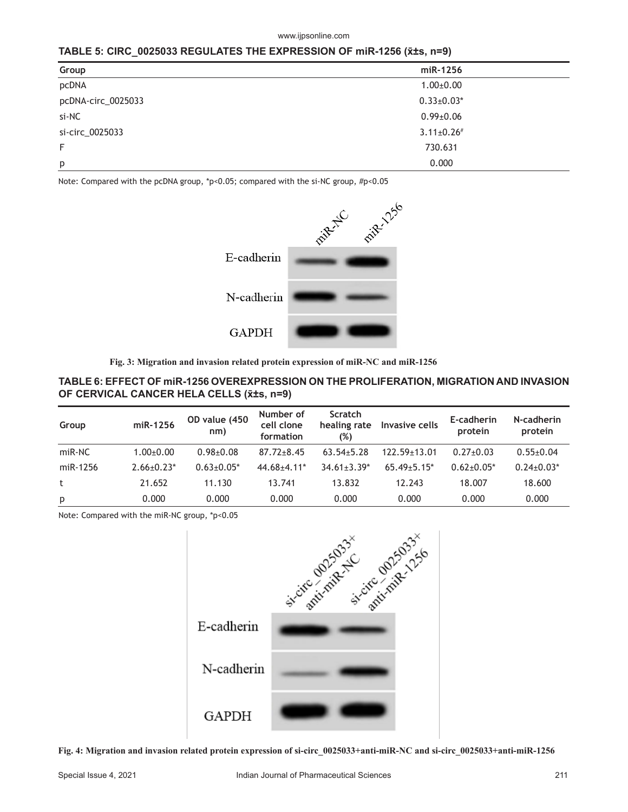#### www.ijpsonline.com

#### **TABLE 5: CIRC\_0025033 REGULATES THE EXPRESSION OF miR-1256 (x̄±s, n=9)**

| Group              | miR-1256          |
|--------------------|-------------------|
| pcDNA              | $1.00 \pm 0.00$   |
| pcDNA-circ_0025033 | $0.33 \pm 0.03*$  |
| si-NC              | $0.99 \pm 0.06$   |
| si-circ 0025033    | $3.11 \pm 0.26$ # |
| F                  | 730.631           |
| p                  | 0.000             |

Note: Compared with the pcDNA group, \*p<0.05; compared with the si-NC group, #p<0.05



**Fig. 3: Migration and invasion related protein expression of miR-NC and miR-1256**

#### **TABLE 6: EFFECT OF miR-1256 OVEREXPRESSION ON THE PROLIFERATION, MIGRATION AND INVASION OF CERVICAL CANCER HELA CELLS (x̄±s, n=9)**

| Group    | miR-1256          | OD value (450<br>nm) | Number of<br>cell clone<br>formation | <b>Scratch</b><br>healing rate<br>(%) | Invasive cells  | E-cadherin<br>protein | N-cadherin<br>protein |
|----------|-------------------|----------------------|--------------------------------------|---------------------------------------|-----------------|-----------------------|-----------------------|
| miR-NC   | $1.00 + 0.00$     | $0.98 + 0.08$        | $87.72 \pm 8.45$                     | $63.54 + 5.28$                        | 122.59+13.01    | $0.27+0.03$           | $0.55+0.04$           |
| miR-1256 | $2.66 \pm 0.23$ * | $0.63 + 0.05*$       | $44.68 + 4.11*$                      | $34.61 + 3.39*$                       | $65.49 + 5.15*$ | $0.62 + 0.05*$        | $0.24 \pm 0.03*$      |
| t        | 21.652            | 11.130               | 13.741                               | 13.832                                | 12.243          | 18.007                | 18.600                |
| p        | 0.000             | 0.000                | 0.000                                | 0.000                                 | 0.000           | 0.000                 | 0.000                 |

Note: Compared with the miR-NC group, \*p<0.05



**Fig. 4: Migration and invasion related protein expression of si-circ\_0025033+anti-miR-NC and si-circ\_0025033+anti-miR-1256**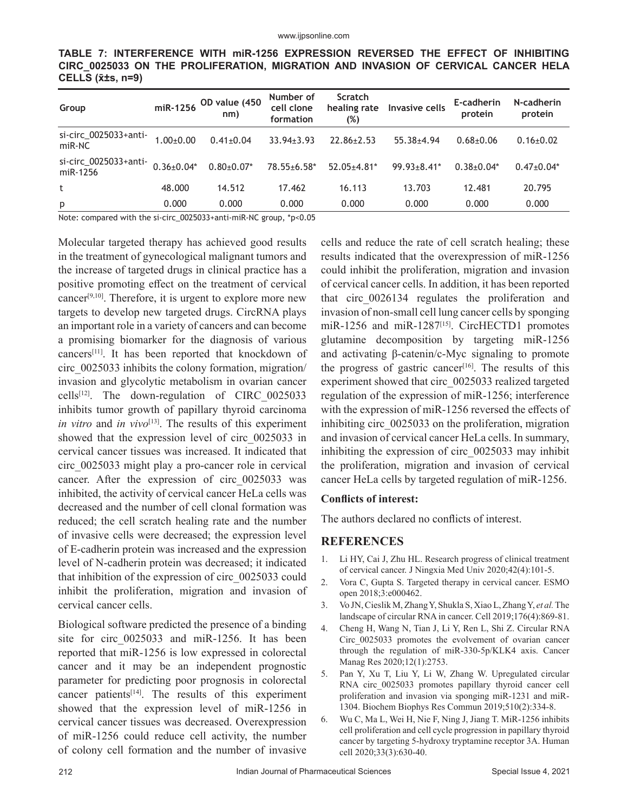|                              |  |  |  | TABLE 7: INTERFERENCE WITH miR-1256 EXPRESSION REVERSED THE EFFECT OF INHIBITING  |  |  |  |  |  |  |
|------------------------------|--|--|--|-----------------------------------------------------------------------------------|--|--|--|--|--|--|
|                              |  |  |  | CIRC 0025033 ON THE PROLIFERATION, MIGRATION AND INVASION OF CERVICAL CANCER HELA |  |  |  |  |  |  |
| $CELLS$ ( $\bar{x}$ ±s, n=9) |  |  |  |                                                                                   |  |  |  |  |  |  |

| Group                             |                  | miR-1256 OD value (450<br>nm) | Number of<br>cell clone<br>formation | <b>Scratch</b><br>healing rate<br>(%) | Invasive cells     | E-cadherin<br>protein | N-cadherin<br>protein |
|-----------------------------------|------------------|-------------------------------|--------------------------------------|---------------------------------------|--------------------|-----------------------|-----------------------|
| si-circ_0025033+anti-<br>$miR-NC$ | $1.00 + 0.00$    | $0.41 \pm 0.04$               | $33.94 \pm 3.93$                     | $22.86 \pm 2.53$                      | $55.38 + 4.94$     | $0.68 + 0.06$         | $0.16 \pm 0.02$       |
| si-circ_0025033+anti-<br>miR-1256 | $0.36 \pm 0.04*$ | $0.80+0.07*$                  | $78.55 \pm 6.58$ *                   | $52.05+4.81*$                         | $99.93 \pm 8.41$ * | $0.38 + 0.04*$        | $0.47 \pm 0.04*$      |
| t                                 | 48.000           | 14.512                        | 17.462                               | 16.113                                | 13.703             | 12.481                | 20.795                |
| p                                 | 0.000            | 0.000                         | 0.000                                | 0.000                                 | 0.000              | 0.000                 | 0.000                 |

Note: compared with the si-circ\_0025033+anti-miR-NC group, \*p<0.05

Molecular targeted therapy has achieved good results in the treatment of gynecological malignant tumors and the increase of targeted drugs in clinical practice has a positive promoting effect on the treatment of cervical cancer<sup>[9,10]</sup>. Therefore, it is urgent to explore more new targets to develop new targeted drugs. CircRNA plays an important role in a variety of cancers and can become a promising biomarker for the diagnosis of various cancers[11]. It has been reported that knockdown of circ\_0025033 inhibits the colony formation, migration/ invasion and glycolytic metabolism in ovarian cancer cells<sup>[12]</sup>. The down-regulation of CIRC  $0025033$ inhibits tumor growth of papillary thyroid carcinoma *in vitro* and *in vivo*<sup>[13]</sup>. The results of this experiment showed that the expression level of circ\_0025033 in cervical cancer tissues was increased. It indicated that circ\_0025033 might play a pro-cancer role in cervical cancer. After the expression of circ\_0025033 was inhibited, the activity of cervical cancer HeLa cells was decreased and the number of cell clonal formation was reduced; the cell scratch healing rate and the number of invasive cells were decreased; the expression level of E-cadherin protein was increased and the expression level of N-cadherin protein was decreased; it indicated that inhibition of the expression of circ\_0025033 could inhibit the proliferation, migration and invasion of cervical cancer cells.

Biological software predicted the presence of a binding site for circ\_0025033 and miR-1256. It has been reported that miR-1256 is low expressed in colorectal cancer and it may be an independent prognostic parameter for predicting poor prognosis in colorectal cancer patients<sup>[14]</sup>. The results of this experiment showed that the expression level of miR-1256 in cervical cancer tissues was decreased. Overexpression of miR-1256 could reduce cell activity, the number of colony cell formation and the number of invasive cells and reduce the rate of cell scratch healing; these results indicated that the overexpression of miR-1256 could inhibit the proliferation, migration and invasion of cervical cancer cells. In addition, it has been reported that circ\_0026134 regulates the proliferation and invasion of non-small cell lung cancer cells by sponging miR-1256 and miR-1287[15]. CircHECTD1 promotes glutamine decomposition by targeting miR-1256 and activating β-catenin/c-Myc signaling to promote the progress of gastric cancer<sup>[16]</sup>. The results of this experiment showed that circ\_0025033 realized targeted regulation of the expression of miR-1256; interference with the expression of miR-1256 reversed the effects of inhibiting circ\_0025033 on the proliferation, migration and invasion of cervical cancer HeLa cells. In summary, inhibiting the expression of circ\_0025033 may inhibit the proliferation, migration and invasion of cervical cancer HeLa cells by targeted regulation of miR-1256.

#### **Conflicts of interest:**

The authors declared no conflicts of interest.

#### **REFERENCES**

- 1. Li HY, Cai J, Zhu HL. Research progress of clinical treatment of cervical cancer. J Ningxia Med Univ 2020;42(4):101-5.
- 2. Vora C, Gupta S. Targeted therapy in cervical cancer. ESMO open 2018;3:e000462.
- 3. Vo JN, Cieslik M, Zhang Y, Shukla S, Xiao L, Zhang Y, *et al.* The landscape of circular RNA in cancer. Cell 2019;176(4):869-81.
- 4. Cheng H, Wang N, Tian J, Li Y, Ren L, Shi Z. Circular RNA Circ\_0025033 promotes the evolvement of ovarian cancer through the regulation of miR-330-5p/KLK4 axis. Cancer Manag Res 2020;12(1):2753.
- 5. Pan Y, Xu T, Liu Y, Li W, Zhang W. Upregulated circular RNA circ 0025033 promotes papillary thyroid cancer cell proliferation and invasion via sponging miR-1231 and miR-1304. Biochem Biophys Res Commun 2019;510(2):334-8.
- 6. Wu C, Ma L, Wei H, Nie F, Ning J, Jiang T. MiR-1256 inhibits cell proliferation and cell cycle progression in papillary thyroid cancer by targeting 5-hydroxy tryptamine receptor 3A. Human cell 2020;33(3):630-40.